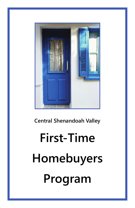### **Central Shenandoah Valley**

# **First-Time Homebuyers Program**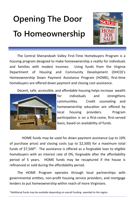## **Opening The Door To Homeownership**



The Central Shenandoah Valley First‐Time Homebuyers Program is a housing program designed to make homeownership a reality for individuals and families with modest incomes. Using funds from the Virginia Department of Housing and Community Development (DHCD)'s Homeownership Down Payment Assistance Program (HOME), first-time homebuyers are offered down payment and closing cost assistance.

Decent, safe, accessible, and affordable housing helps increase wealth



for individuals and strengthens communities. Credit counseling and homeownership education are offered by local housing providers. Program participation is on a first-come, first-served basis, based on availability of funds.

HOME funds may be used for down payment assistance (up to 10% of purchase price) and closing costs (up to \$2,500) for a maximum total funds of \$7,500\*. The assistance is offered as a forgivable loan to eligible homebuyers with an interest rate of 0%, forgivable after the affordability period of 5 years. HOME funds may be recaptured if the house is refinanced or sold during the affordability period.

The HOME Program operates through local partnerships with governmental entities, non-profit housing service providers, and mortgage lenders to put homeownership within reach of more Virginians.

<sup>\*</sup>Additional funds may be available depending on overall funding awarded to the region.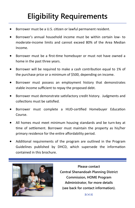### **Eligibility Requirements**

- Borrower must be a U.S. citizen or lawful permanent resident.
- Borrower's annual household income must be within certain low‐ to moderate‐income limits and cannot exceed 80% of the Area Median Income.
- Borrower must be a first-time homebuyer or must not have owned a home in the past three years.
- Borrower will be required to make a cash contribution equal to 1% of the purchase price or a minimum of \$500, depending on income.
- Borrower must possess an employment history that demonstrates stable income sufficient to repay the proposed debt.
- Borrower must demonstrate satisfactory credit history. Judgments and collections must be satisfied.
- Borrower must complete a HUD-certified Homebuyer Education Course.
- All homes must meet minimum housing standards and be turn‐key at time of settlement. Borrower must maintain the property as his/her primary residence for the entire affordability period.
- Additional requirements of the program are outlined in the Program Guidelines published by DHCD, which supersede the information contained in this brochure.



**Please contact Central Shenandoah Planning District Commission, HOME Program Administrator, for more details (see back for contact information).** 

8008